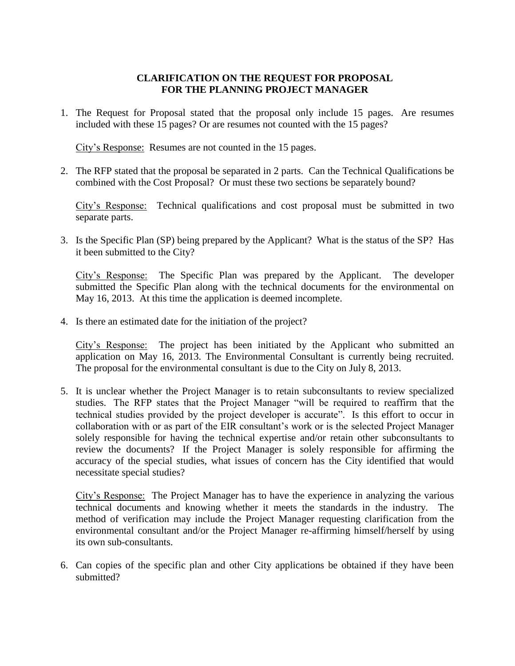## **CLARIFICATION ON THE REQUEST FOR PROPOSAL FOR THE PLANNING PROJECT MANAGER**

1. The Request for Proposal stated that the proposal only include 15 pages. Are resumes included with these 15 pages? Or are resumes not counted with the 15 pages?

City's Response: Resumes are not counted in the 15 pages.

2. The RFP stated that the proposal be separated in 2 parts. Can the Technical Qualifications be combined with the Cost Proposal? Or must these two sections be separately bound?

City's Response: Technical qualifications and cost proposal must be submitted in two separate parts.

3. Is the Specific Plan (SP) being prepared by the Applicant? What is the status of the SP? Has it been submitted to the City?

City's Response: The Specific Plan was prepared by the Applicant. The developer submitted the Specific Plan along with the technical documents for the environmental on May 16, 2013. At this time the application is deemed incomplete.

4. Is there an estimated date for the initiation of the project?

City's Response: The project has been initiated by the Applicant who submitted an application on May 16, 2013. The Environmental Consultant is currently being recruited. The proposal for the environmental consultant is due to the City on July 8, 2013.

5. It is unclear whether the Project Manager is to retain subconsultants to review specialized studies. The RFP states that the Project Manager "will be required to reaffirm that the technical studies provided by the project developer is accurate". Is this effort to occur in collaboration with or as part of the EIR consultant's work or is the selected Project Manager solely responsible for having the technical expertise and/or retain other subconsultants to review the documents? If the Project Manager is solely responsible for affirming the accuracy of the special studies, what issues of concern has the City identified that would necessitate special studies?

City's Response: The Project Manager has to have the experience in analyzing the various technical documents and knowing whether it meets the standards in the industry. The method of verification may include the Project Manager requesting clarification from the environmental consultant and/or the Project Manager re-affirming himself/herself by using its own sub-consultants.

6. Can copies of the specific plan and other City applications be obtained if they have been submitted?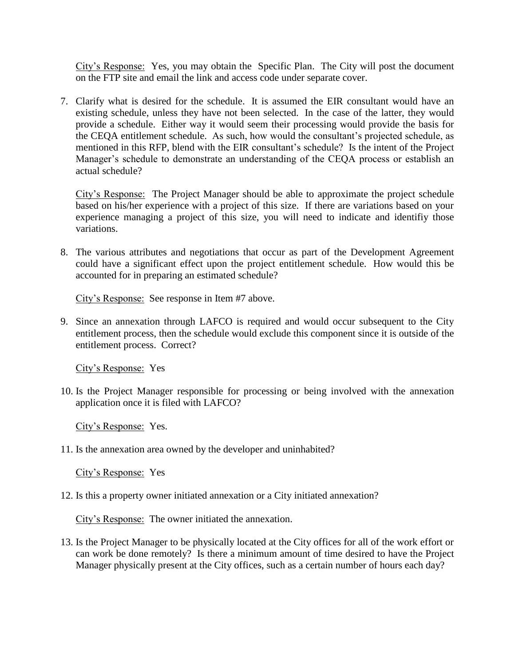City's Response: Yes, you may obtain the Specific Plan. The City will post the document on the FTP site and email the link and access code under separate cover.

7. Clarify what is desired for the schedule. It is assumed the EIR consultant would have an existing schedule, unless they have not been selected. In the case of the latter, they would provide a schedule. Either way it would seem their processing would provide the basis for the CEQA entitlement schedule. As such, how would the consultant's projected schedule, as mentioned in this RFP, blend with the EIR consultant's schedule? Is the intent of the Project Manager's schedule to demonstrate an understanding of the CEQA process or establish an actual schedule?

City's Response: The Project Manager should be able to approximate the project schedule based on his/her experience with a project of this size. If there are variations based on your experience managing a project of this size, you will need to indicate and identifiy those variations.

8. The various attributes and negotiations that occur as part of the Development Agreement could have a significant effect upon the project entitlement schedule. How would this be accounted for in preparing an estimated schedule?

City's Response: See response in Item #7 above.

9. Since an annexation through LAFCO is required and would occur subsequent to the City entitlement process, then the schedule would exclude this component since it is outside of the entitlement process. Correct?

City's Response: Yes

10. Is the Project Manager responsible for processing or being involved with the annexation application once it is filed with LAFCO?

City's Response: Yes.

11. Is the annexation area owned by the developer and uninhabited?

City's Response: Yes

12. Is this a property owner initiated annexation or a City initiated annexation?

City's Response: The owner initiated the annexation.

13. Is the Project Manager to be physically located at the City offices for all of the work effort or can work be done remotely? Is there a minimum amount of time desired to have the Project Manager physically present at the City offices, such as a certain number of hours each day?